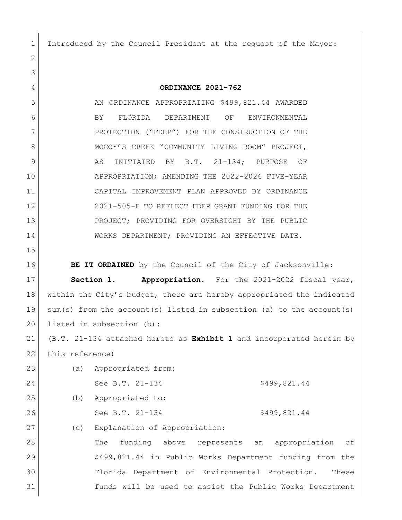Introduced by the Council President at the request of the Mayor:

 **ORDINANCE 2021-762** 5 AN ORDINANCE APPROPRIATING \$499,821.44 AWARDED BY FLORIDA DEPARTMENT OF ENVIRONMENTAL 7 PROTECTION ("FDEP") FOR THE CONSTRUCTION OF THE 8 MCCOY'S CREEK "COMMUNITY LIVING ROOM" PROJECT, 9 AS INITIATED BY B.T. 21-134; PURPOSE OF APPROPRIATION; AMENDING THE 2022-2026 FIVE-YEAR CAPITAL IMPROVEMENT PLAN APPROVED BY ORDINANCE 2021-505-E TO REFLECT FDEP GRANT FUNDING FOR THE PROJECT; PROVIDING FOR OVERSIGHT BY THE PUBLIC 14 WORKS DEPARTMENT; PROVIDING AN EFFECTIVE DATE. **BE IT ORDAINED** by the Council of the City of Jacksonville: **Section 1. Appropriation.** For the 2021-2022 fiscal year, 18 within the City's budget, there are hereby appropriated the indicated sum(s) from the account(s) listed in subsection (a) to the account(s) 20 listed in subsection (b): (B.T. 21-134 attached hereto as **Exhibit 1** and incorporated herein by 22 this reference) (a) Appropriated from: 24 See B.T. 21-134 \$499,821.44 (b) Appropriated to: 26 See B.T. 21-134 \$499,821.44 (c) Explanation of Appropriation: 28 The funding above represents an appropriation of \$499,821.44 in Public Works Department funding from the Florida Department of Environmental Protection. These funds will be used to assist the Public Works Department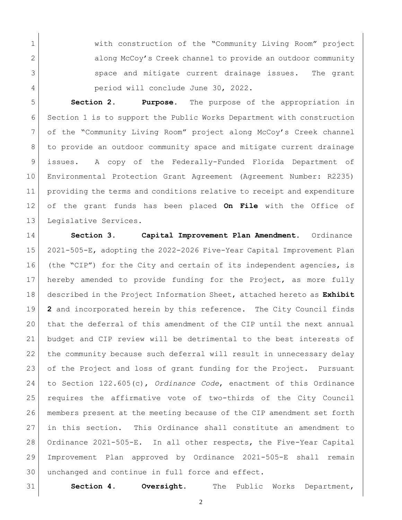1 With construction of the "Community Living Room" project 2 along McCoy's Creek channel to provide an outdoor community 3 space and mitigate current drainage issues. The grant 4 period will conclude June 30, 2022.

 **Section 2. Purpose.** The purpose of the appropriation in Section 1 is to support the Public Works Department with construction of the "Community Living Room" project along McCoy's Creek channel to provide an outdoor community space and mitigate current drainage issues. A copy of the Federally-Funded Florida Department of Environmental Protection Grant Agreement (Agreement Number: R2235) providing the terms and conditions relative to receipt and expenditure of the grant funds has been placed **On File** with the Office of 13 Legislative Services.

 **Section 3. Capital Improvement Plan Amendment.** Ordinance 2021-505-E, adopting the 2022-2026 Five-Year Capital Improvement Plan (the "CIP") for the City and certain of its independent agencies, is hereby amended to provide funding for the Project, as more fully described in the Project Information Sheet, attached hereto as **Exhibit 2** and incorporated herein by this reference. The City Council finds that the deferral of this amendment of the CIP until the next annual budget and CIP review will be detrimental to the best interests of the community because such deferral will result in unnecessary delay 23 of the Project and loss of grant funding for the Project. Pursuant to Section 122.605(c), *Ordinance Code*, enactment of this Ordinance requires the affirmative vote of two-thirds of the City Council members present at the meeting because of the CIP amendment set forth in this section. This Ordinance shall constitute an amendment to Ordinance 2021-505-E. In all other respects, the Five-Year Capital Improvement Plan approved by Ordinance 2021-505-E shall remain 30 unchanged and continue in full force and effect.

**Section 4. Oversight.** The Public Works Department,